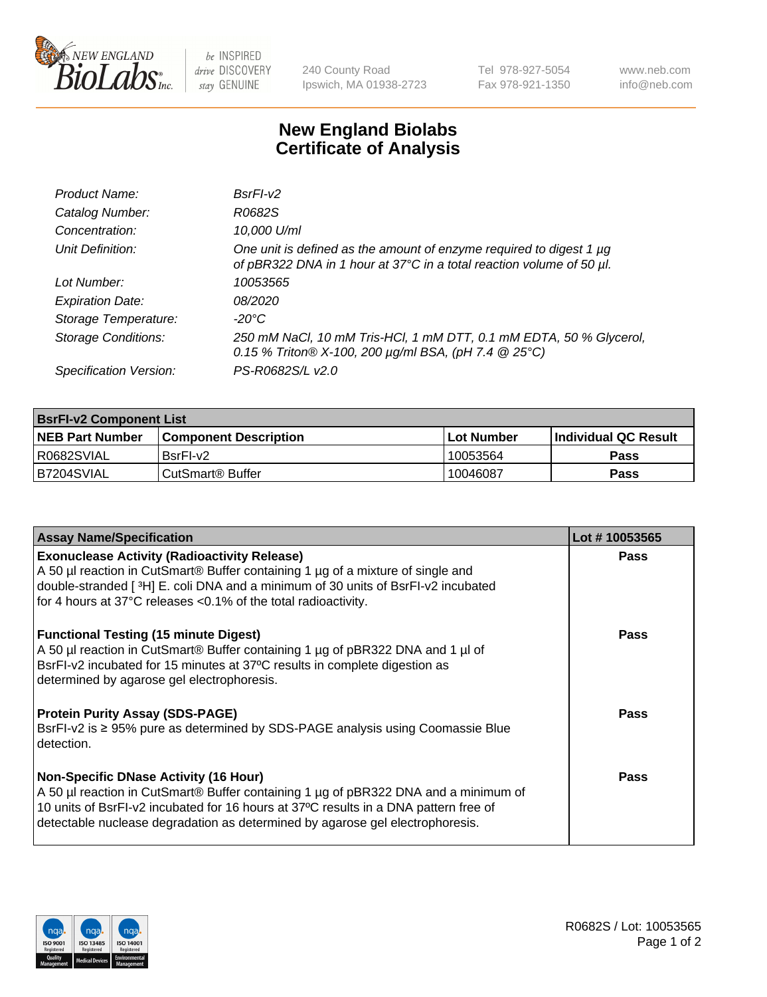

 $be$  INSPIRED drive DISCOVERY stay GENUINE

240 County Road Ipswich, MA 01938-2723 Tel 978-927-5054 Fax 978-921-1350 www.neb.com info@neb.com

## **New England Biolabs Certificate of Analysis**

| Product Name:              | $BsrFI-V2$                                                                                                                                  |
|----------------------------|---------------------------------------------------------------------------------------------------------------------------------------------|
| Catalog Number:            | R0682S                                                                                                                                      |
| Concentration:             | 10,000 U/ml                                                                                                                                 |
| Unit Definition:           | One unit is defined as the amount of enzyme required to digest 1 µg<br>of pBR322 DNA in 1 hour at 37°C in a total reaction volume of 50 µl. |
| Lot Number:                | 10053565                                                                                                                                    |
| <b>Expiration Date:</b>    | 08/2020                                                                                                                                     |
| Storage Temperature:       | -20°C                                                                                                                                       |
| <b>Storage Conditions:</b> | 250 mM NaCl, 10 mM Tris-HCl, 1 mM DTT, 0.1 mM EDTA, 50 % Glycerol,<br>0.15 % Triton® X-100, 200 µg/ml BSA, (pH 7.4 @ 25°C)                  |
| Specification Version:     | PS-R0682S/L v2.0                                                                                                                            |

| <b>BsrFI-v2 Component List</b> |                              |                   |                       |  |  |
|--------------------------------|------------------------------|-------------------|-----------------------|--|--|
| <b>NEB Part Number</b>         | <b>Component Description</b> | <b>Lot Number</b> | ∣Individual QC Result |  |  |
| R0682SVIAL                     | BsrFI-v2                     | 10053564          | <b>Pass</b>           |  |  |
| B7204SVIAL                     | CutSmart® Buffer             | 10046087          | Pass                  |  |  |

| <b>Assay Name/Specification</b>                                                                                                                                                                                                                                                                              | Lot #10053565 |
|--------------------------------------------------------------------------------------------------------------------------------------------------------------------------------------------------------------------------------------------------------------------------------------------------------------|---------------|
| <b>Exonuclease Activity (Radioactivity Release)</b><br>A 50 µl reaction in CutSmart® Buffer containing 1 µg of a mixture of single and<br>double-stranded [3H] E. coli DNA and a minimum of 30 units of BsrFI-v2 incubated<br>for 4 hours at 37°C releases <0.1% of the total radioactivity.                 | Pass          |
| <b>Functional Testing (15 minute Digest)</b><br>A 50 µl reaction in CutSmart® Buffer containing 1 µg of pBR322 DNA and 1 µl of<br>BsrFI-v2 incubated for 15 minutes at 37°C results in complete digestion as<br>determined by agarose gel electrophoresis.                                                   | Pass          |
| <b>Protein Purity Assay (SDS-PAGE)</b><br>BsrFI-v2 is ≥ 95% pure as determined by SDS-PAGE analysis using Coomassie Blue<br>detection.                                                                                                                                                                       | Pass          |
| <b>Non-Specific DNase Activity (16 Hour)</b><br>A 50 µl reaction in CutSmart® Buffer containing 1 µg of pBR322 DNA and a minimum of<br>10 units of BsrFI-v2 incubated for 16 hours at 37°C results in a DNA pattern free of<br>detectable nuclease degradation as determined by agarose gel electrophoresis. | <b>Pass</b>   |